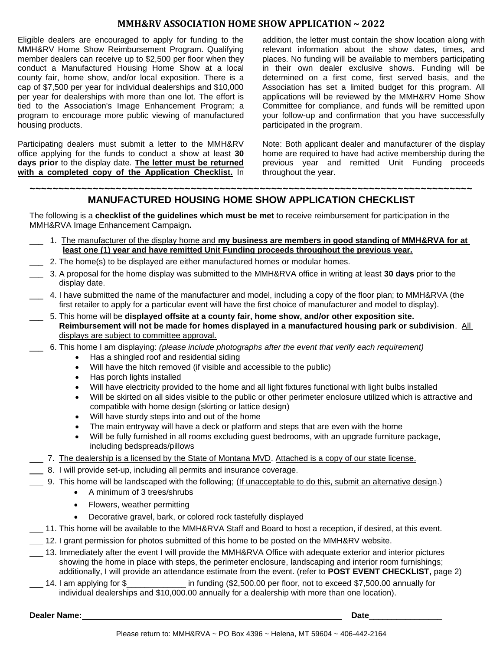## **MMH&RV ASSOCIATION HOME SHOW APPLICATION ~ 2022**

Eligible dealers are encouraged to apply for funding to the MMH&RV Home Show Reimbursement Program. Qualifying member dealers can receive up to \$2,500 per floor when they conduct a Manufactured Housing Home Show at a local county fair, home show, and/or local exposition. There is a cap of \$7,500 per year for individual dealerships and \$10,000 per year for dealerships with more than one lot. The effort is tied to the Association's Image Enhancement Program; a program to encourage more public viewing of manufactured housing products.

Participating dealers must submit a letter to the MMH&RV office applying for the funds to conduct a show at least **30 days prior** to the display date. **The letter must be returned with a completed copy of the Application Checklist.** In

addition, the letter must contain the show location along with relevant information about the show dates, times, and places. No funding will be available to members participating in their own dealer exclusive shows. Funding will be determined on a first come, first served basis, and the Association has set a limited budget for this program. All applications will be reviewed by the MMH&RV Home Show Committee for compliance, and funds will be remitted upon your follow-up and confirmation that you have successfully participated in the program.

Note: Both applicant dealer and manufacturer of the display home are required to have had active membership during the previous year and remitted Unit Funding proceeds throughout the year.

## **~~~~~~~~~~~~~~~~~~~~~~~~~~~~~~~~~~~~~~~~~~~~~~~~~~~~~~~~~~~~~~~~~~~~~~~~~~~~~ MANUFACTURED HOUSING HOME SHOW APPLICATION CHECKLIST**

The following is a **checklist of the guidelines which must be met** to receive reimbursement for participation in the MMH&RVA Image Enhancement Campaign**.**

- \_\_\_ 1. The manufacturer of the display home and **my business are members in good standing of MMH&RVA for at least one (1) year and have remitted Unit Funding proceeds throughout the previous year.**
- 2. The home(s) to be displayed are either manufactured homes or modular homes.
- \_\_\_ 3. A proposal for the home display was submitted to the MMH&RVA office in writing at least **30 days** prior to the display date.
- \_\_\_ 4. I have submitted the name of the manufacturer and model, including a copy of the floor plan; to MMH&RVA (the first retailer to apply for a particular event will have the first choice of manufacturer and model to display).
- \_\_\_ 5. This home will be **displayed offsite at a county fair, home show, and/or other exposition site. Reimbursement will not be made for homes displayed in a manufactured housing park or subdivision**. All displays are subject to committee approval.
- \_\_\_ 6. This home I am displaying: *(please include photographs after the event that verify each requirement)*
	- Has a shingled roof and residential siding
	- Will have the hitch removed (if visible and accessible to the public)
	- Has porch lights installed
	- Will have electricity provided to the home and all light fixtures functional with light bulbs installed
	- Will be skirted on all sides visible to the public or other perimeter enclosure utilized which is attractive and compatible with home design (skirting or lattice design)
	- Will have sturdy steps into and out of the home
	- The main entryway will have a deck or platform and steps that are even with the home
	- Will be fully furnished in all rooms excluding guest bedrooms, with an upgrade furniture package, including bedspreads/pillows
- 7. The dealership is a licensed by the State of Montana MVD. Attached is a copy of our state license.
- 8. I will provide set-up, including all permits and insurance coverage.
- 9. This home will be landscaped with the following; (If unacceptable to do this, submit an alternative design.)
	- A minimum of 3 trees/shrubs
	- Flowers, weather permitting
	- Decorative gravel, bark, or colored rock tastefully displayed
- 11. This home will be available to the MMH&RVA Staff and Board to host a reception, if desired, at this event.
- 12. I grant permission for photos submitted of this home to be posted on the MMH&RV website.
- 13. Immediately after the event I will provide the MMH&RVA Office with adequate exterior and interior pictures showing the home in place with steps, the perimeter enclosure, landscaping and interior room furnishings; additionally, I will provide an attendance estimate from the event. (refer to **POST EVENT CHECKLIST,** page 2)
- 14. I am applying for \$\_\_\_\_\_\_\_\_\_\_\_\_\_ in funding (\$2,500.00 per floor, not to exceed \$7,500.00 annually for individual dealerships and \$10,000.00 annually for a dealership with more than one location).

**Dealer Name: Date**